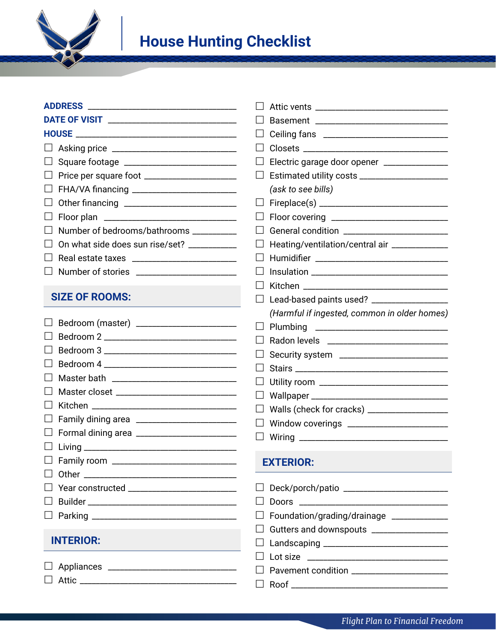

| <b>DATE OF VISIT</b>       |  |
|----------------------------|--|
| <b>HOUSE _____________</b> |  |
| $\Box$ Asking price        |  |
| $\Box$ Square footage      |  |

- Price per square foot \_\_\_\_\_\_\_\_\_\_\_\_\_\_\_\_\_\_\_\_\_\_\_
- FHA/VA financing \_\_\_\_\_\_\_\_\_\_\_\_\_\_\_\_\_\_\_\_\_\_\_\_\_\_
- Other financing \_\_\_\_\_\_\_\_\_\_\_\_\_\_\_\_\_\_\_\_\_\_\_\_\_\_\_\_
- Floor plan \_\_\_\_\_\_\_\_\_\_\_\_\_\_\_\_\_\_\_\_\_\_\_\_\_\_\_\_\_\_\_\_\_
- $\Box$  Number of bedrooms/bathrooms \_\_\_\_\_\_\_\_\_\_
- $\Box$  On what side does sun rise/set? \_\_\_\_\_\_\_\_\_\_
- Real estate taxes \_\_\_\_\_\_\_\_\_\_\_\_\_\_\_\_\_\_\_\_\_\_\_\_\_\_
- Number of stories \_\_\_\_\_\_\_\_\_\_\_\_\_\_\_\_\_\_\_\_\_\_\_\_\_

## **SIZE OF ROOMS:**

| Bedroom (master) ________________________     |
|-----------------------------------------------|
| Bedroom 2 ________________________________    |
|                                               |
| Bedroom 4 ___________________________         |
|                                               |
| $\mathsf{L}$                                  |
|                                               |
| $\Box$                                        |
|                                               |
|                                               |
| □ Family room _______________________________ |
|                                               |
|                                               |
| $\mathbf{1}$                                  |
| □ Parking ____________________________        |
|                                               |

## **INTERIOR:**

Appliances \_\_\_\_\_\_\_\_\_\_\_\_\_\_\_\_\_\_\_\_\_\_\_\_\_\_\_\_\_\_\_\_

Attic \_\_\_\_\_\_\_\_\_\_\_\_\_\_\_\_\_\_\_\_\_\_\_\_\_\_\_\_\_\_\_\_\_\_\_\_\_\_\_

|                | Basement<br><u> 1980 - Johann Barn, mars eta bainar eta baina eta baina eta baina eta baina eta baina eta baina eta baina eta</u> |
|----------------|-----------------------------------------------------------------------------------------------------------------------------------|
|                |                                                                                                                                   |
| $\blacksquare$ |                                                                                                                                   |
| $\Box$         | Electric garage door opener _______________                                                                                       |
| $\Box$         | Estimated utility costs _______________________                                                                                   |
|                | (ask to see bills)                                                                                                                |
| $\Box$         |                                                                                                                                   |
| $\Box$         |                                                                                                                                   |
| $\mathsf{L}$   |                                                                                                                                   |
| $\mathsf{L}$   | Heating/ventilation/central air _____________                                                                                     |
| $\Box$         |                                                                                                                                   |
|                |                                                                                                                                   |
| - 1            | Kitchen                                                                                                                           |
| ⊔              | Lead-based paints used? _____________________                                                                                     |
|                | (Harmful if ingested, common in older homes)                                                                                      |
| $\blacksquare$ | Plumbing                                                                                                                          |
|                | Radon levels                                                                                                                      |
|                |                                                                                                                                   |
| ΙI             |                                                                                                                                   |
|                | Utility room _________________________________                                                                                    |
| $\mathsf{L}$   |                                                                                                                                   |
| $\mathsf{L}$   | Walls (check for cracks) ____________________                                                                                     |
| $\Box$         | Window coverings                                                                                                                  |
| $\blacksquare$ |                                                                                                                                   |
|                |                                                                                                                                   |

## **EXTERIOR:**

| □ Doors __________________________               |
|--------------------------------------------------|
| $\Box$ Foundation/grading/drainage _____________ |
|                                                  |
| □ Landscaping ________________________           |
| $\Box$ Lot size _______________________          |
|                                                  |
| □ Roof ______________________                    |